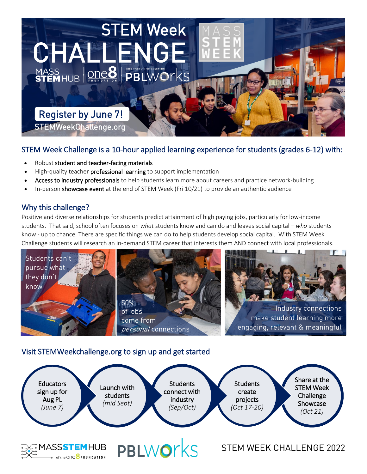

# STEM Week Challenge is a 10-hour applied learning experience for students (grades 6-12) with:

- Robust student and teacher-facing materials
- High-quality teacher **professional learning** to support implementation
- Access to industry professionals to help students learn more about careers and practice network-building
- In-person showcase event at the end of STEM Week (Fri 10/21) to provide an authentic audience

### Why this challenge?

Positive and diverse relationships for students predict attainment of high paying jobs, particularly for low-income students. That said, school often focuses on *what* students know and can do and leaves social capital – *who* students know - up to chance. There are specific things we can do to help students develop social capital. With STEM Week Challenge students will research an in-demand STEM career that interests them AND connect with local professionals.



## Visit STEMWeekchallenge.org to sign up and get started